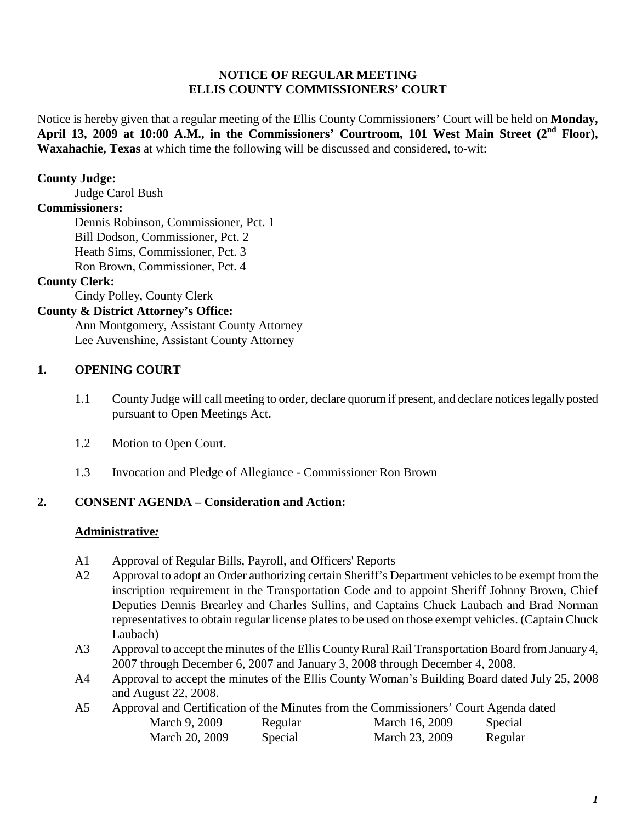#### **NOTICE OF REGULAR MEETING ELLIS COUNTY COMMISSIONERS' COURT**

Notice is hereby given that a regular meeting of the Ellis County Commissioners' Court will be held on **Monday, April 13, 2009 at 10:00 A.M., in the Commissioners' Courtroom, 101 West Main Street (2nd Floor), Waxahachie, Texas** at which time the following will be discussed and considered, to-wit:

### **County Judge:**

Judge Carol Bush

## **Commissioners:**

Dennis Robinson, Commissioner, Pct. 1 Bill Dodson, Commissioner, Pct. 2 Heath Sims, Commissioner, Pct. 3 Ron Brown, Commissioner, Pct. 4

## **County Clerk:**

Cindy Polley, County Clerk

### **County & District Attorney's Office:**

Ann Montgomery, Assistant County Attorney Lee Auvenshine, Assistant County Attorney

### **1. OPENING COURT**

- 1.1 County Judge will call meeting to order, declare quorum if present, and declare notices legally posted pursuant to Open Meetings Act.
- 1.2 Motion to Open Court.
- 1.3 Invocation and Pledge of Allegiance Commissioner Ron Brown

### **2. CONSENT AGENDA – Consideration and Action:**

### **Administrative***:*

- A1 Approval of Regular Bills, Payroll, and Officers' Reports
- A2 Approval to adopt an Order authorizing certain Sheriff's Department vehicles to be exempt from the inscription requirement in the Transportation Code and to appoint Sheriff Johnny Brown, Chief Deputies Dennis Brearley and Charles Sullins, and Captains Chuck Laubach and Brad Norman representatives to obtain regular license plates to be used on those exempt vehicles. (Captain Chuck Laubach)
- A3 Approval to accept the minutes of the Ellis County Rural Rail Transportation Board from January 4, 2007 through December 6, 2007 and January 3, 2008 through December 4, 2008.
- A4 Approval to accept the minutes of the Ellis County Woman's Building Board dated July 25, 2008 and August 22, 2008.
- A5 Approval and Certification of the Minutes from the Commissioners' Court Agenda dated March 9, 2009 Regular March 16, 2009 Special March 20, 2009 Special March 23, 2009 Regular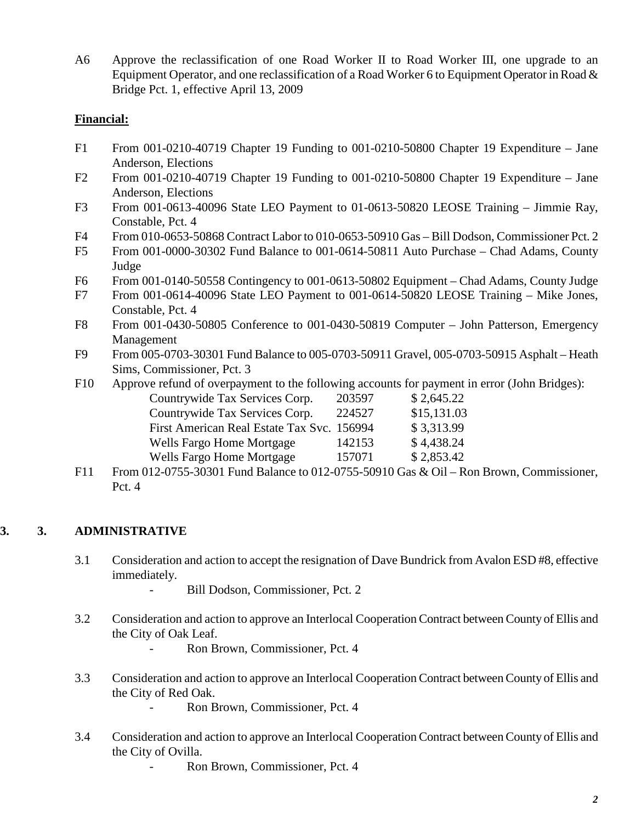A6 Approve the reclassification of one Road Worker II to Road Worker III, one upgrade to an Equipment Operator, and one reclassification of a Road Worker 6 to Equipment Operator in Road  $\&$ Bridge Pct. 1, effective April 13, 2009

### **Financial:**

- F1 From 001-0210-40719 Chapter 19 Funding to 001-0210-50800 Chapter 19 Expenditure Jane Anderson, Elections
- F2 From 001-0210-40719 Chapter 19 Funding to 001-0210-50800 Chapter 19 Expenditure Jane Anderson, Elections
- F3 From 001-0613-40096 State LEO Payment to 01-0613-50820 LEOSE Training Jimmie Ray, Constable, Pct. 4
- F4 From 010-0653-50868 Contract Labor to 010-0653-50910 Gas Bill Dodson, Commissioner Pct. 2
- F5 From 001-0000-30302 Fund Balance to 001-0614-50811 Auto Purchase Chad Adams, County Judge
- F6 From 001-0140-50558 Contingency to 001-0613-50802 Equipment Chad Adams, County Judge
- F7 From 001-0614-40096 State LEO Payment to 001-0614-50820 LEOSE Training Mike Jones, Constable, Pct. 4
- F8 From 001-0430-50805 Conference to 001-0430-50819 Computer John Patterson, Emergency Management
- F9 From 005-0703-30301 Fund Balance to 005-0703-50911 Gravel, 005-0703-50915 Asphalt Heath Sims, Commissioner, Pct. 3
- F10 Approve refund of overpayment to the following accounts for payment in error (John Bridges):

|                                            | \$2,645.22  |
|--------------------------------------------|-------------|
| 224527                                     | \$15,131.03 |
| First American Real Estate Tax Svc. 156994 | \$3,313.99  |
| 142153                                     | \$4,438.24  |
| 157071                                     | \$2,853.42  |
|                                            | 203597      |

F11 From 012-0755-30301 Fund Balance to 012-0755-50910 Gas & Oil – Ron Brown, Commissioner, Pct. 4

# **3. 3. ADMINISTRATIVE**

- 3.1 Consideration and action to accept the resignation of Dave Bundrick from Avalon ESD #8, effective immediately.
	- Bill Dodson, Commissioner, Pct. 2
- 3.2 Consideration and action to approve an Interlocal Cooperation Contract between County of Ellis and the City of Oak Leaf.
	- Ron Brown, Commissioner, Pct. 4
- 3.3 Consideration and action to approve an Interlocal Cooperation Contract between County of Ellis and the City of Red Oak.

Ron Brown, Commissioner, Pct. 4

- 3.4 Consideration and action to approve an Interlocal Cooperation Contract between County of Ellis and the City of Ovilla.
	- Ron Brown, Commissioner, Pct. 4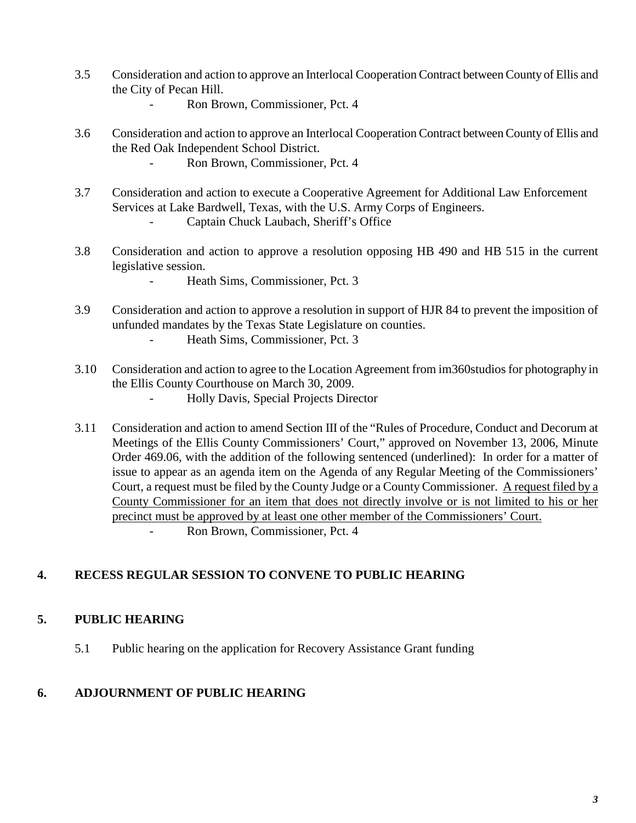- 3.5 Consideration and action to approve an Interlocal Cooperation Contract between County of Ellis and the City of Pecan Hill.
	- Ron Brown, Commissioner, Pct. 4
- 3.6 Consideration and action to approve an Interlocal Cooperation Contract between County of Ellis and the Red Oak Independent School District.
	- Ron Brown, Commissioner, Pct. 4
- 3.7 Consideration and action to execute a Cooperative Agreement for Additional Law Enforcement Services at Lake Bardwell, Texas, with the U.S. Army Corps of Engineers.
	- Captain Chuck Laubach, Sheriff's Office
- 3.8 Consideration and action to approve a resolution opposing HB 490 and HB 515 in the current legislative session.
	- Heath Sims, Commissioner, Pct. 3
- 3.9 Consideration and action to approve a resolution in support of HJR 84 to prevent the imposition of unfunded mandates by the Texas State Legislature on counties.
	- Heath Sims, Commissioner, Pct. 3
- 3.10 Consideration and action to agree to the Location Agreement from im360studios for photography in the Ellis County Courthouse on March 30, 2009.
	- Holly Davis, Special Projects Director
- 3.11 Consideration and action to amend Section III of the "Rules of Procedure, Conduct and Decorum at Meetings of the Ellis County Commissioners' Court," approved on November 13, 2006, Minute Order 469.06, with the addition of the following sentenced (underlined): In order for a matter of issue to appear as an agenda item on the Agenda of any Regular Meeting of the Commissioners' Court, a request must be filed by the County Judge or a County Commissioner. A request filed by a County Commissioner for an item that does not directly involve or is not limited to his or her precinct must be approved by at least one other member of the Commissioners' Court. Ron Brown, Commissioner, Pct. 4

# **4. RECESS REGULAR SESSION TO CONVENE TO PUBLIC HEARING**

### **5. PUBLIC HEARING**

5.1 Public hearing on the application for Recovery Assistance Grant funding

### **6. ADJOURNMENT OF PUBLIC HEARING**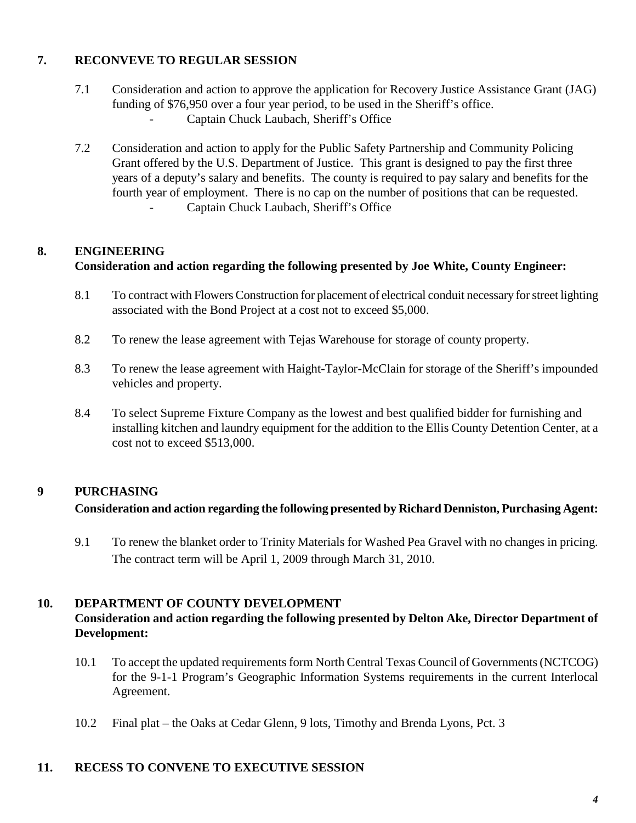# **7. RECONVEVE TO REGULAR SESSION**

- 7.1 Consideration and action to approve the application for Recovery Justice Assistance Grant (JAG) funding of \$76,950 over a four year period, to be used in the Sheriff's office.
	- Captain Chuck Laubach, Sheriff's Office
- 7.2 Consideration and action to apply for the Public Safety Partnership and Community Policing Grant offered by the U.S. Department of Justice. This grant is designed to pay the first three years of a deputy's salary and benefits. The county is required to pay salary and benefits for the fourth year of employment. There is no cap on the number of positions that can be requested. Captain Chuck Laubach, Sheriff's Office

# **8. ENGINEERING**

# **Consideration and action regarding the following presented by Joe White, County Engineer:**

- 8.1 To contract with Flowers Construction for placement of electrical conduit necessary for street lighting associated with the Bond Project at a cost not to exceed \$5,000.
- 8.2 To renew the lease agreement with Tejas Warehouse for storage of county property.
- 8.3 To renew the lease agreement with Haight-Taylor-McClain for storage of the Sheriff's impounded vehicles and property.
- 8.4 To select Supreme Fixture Company as the lowest and best qualified bidder for furnishing and installing kitchen and laundry equipment for the addition to the Ellis County Detention Center, at a cost not to exceed \$513,000.

# **9 PURCHASING**

# **Consideration and action regarding the following presented by Richard Denniston, Purchasing Agent:**

9.1 To renew the blanket order to Trinity Materials for Washed Pea Gravel with no changes in pricing. The contract term will be April 1, 2009 through March 31, 2010.

### **10. DEPARTMENT OF COUNTY DEVELOPMENT**

## **Consideration and action regarding the following presented by Delton Ake, Director Department of Development:**

- 10.1 To accept the updated requirements form North Central Texas Council of Governments (NCTCOG) for the 9-1-1 Program's Geographic Information Systems requirements in the current Interlocal Agreement.
- 10.2 Final plat the Oaks at Cedar Glenn, 9 lots, Timothy and Brenda Lyons, Pct. 3

### **11. RECESS TO CONVENE TO EXECUTIVE SESSION**